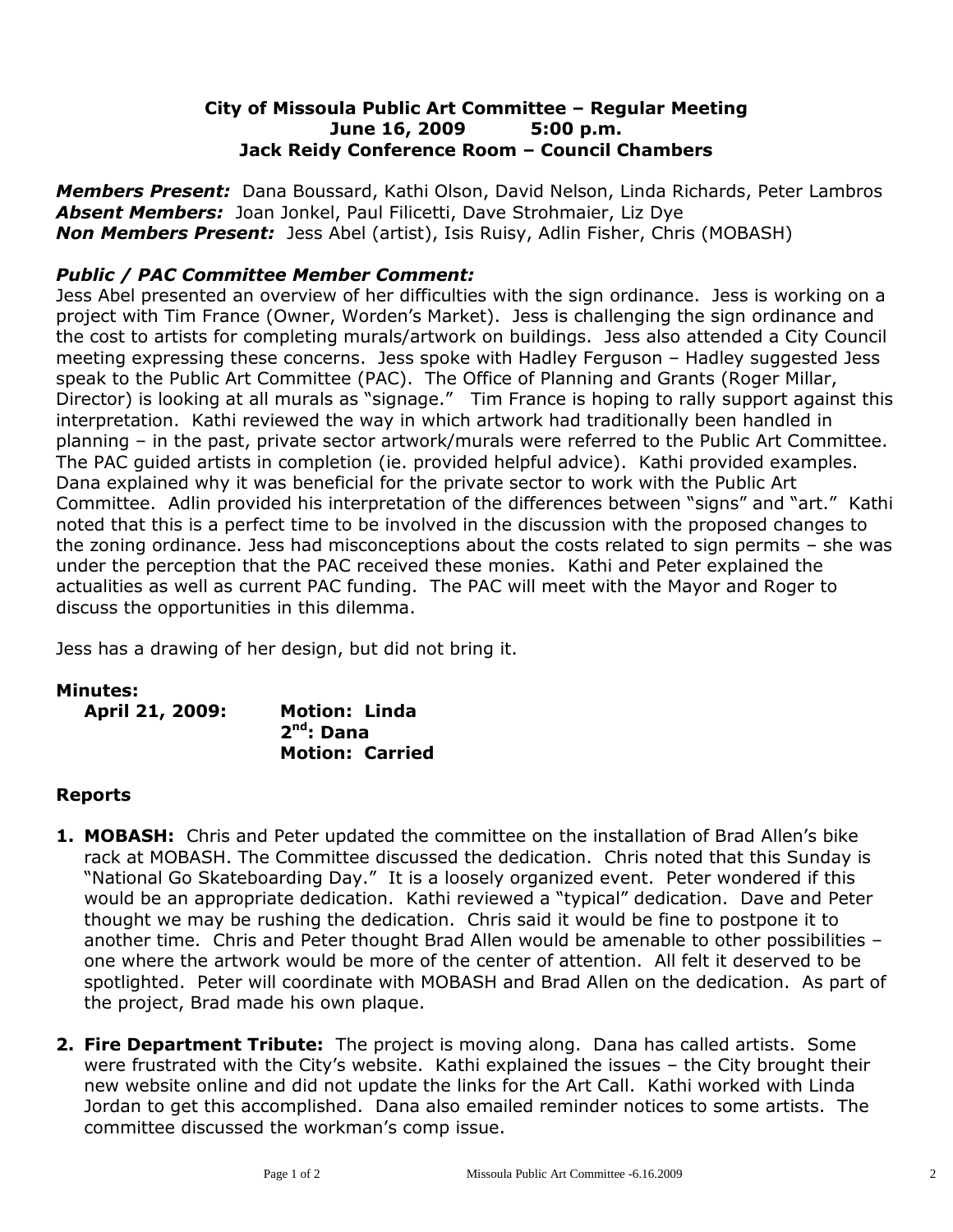# **City of Missoula Public Art Committee – Regular Meeting June 16, 2009 5:00 p.m. Jack Reidy Conference Room – Council Chambers**

*Members Present:* Dana Boussard, Kathi Olson, David Nelson, Linda Richards, Peter Lambros *Absent Members:* Joan Jonkel, Paul Filicetti, Dave Strohmaier, Liz Dye *Non Members Present:* Jess Abel (artist), Isis Ruisy, Adlin Fisher, Chris (MOBASH)

# *Public / PAC Committee Member Comment:*

Jess Abel presented an overview of her difficulties with the sign ordinance. Jess is working on a project with Tim France (Owner, Worden's Market). Jess is challenging the sign ordinance and the cost to artists for completing murals/artwork on buildings. Jess also attended a City Council meeting expressing these concerns. Jess spoke with Hadley Ferguson – Hadley suggested Jess speak to the Public Art Committee (PAC). The Office of Planning and Grants (Roger Millar, Director) is looking at all murals as "signage." Tim France is hoping to rally support against this interpretation. Kathi reviewed the way in which artwork had traditionally been handled in planning – in the past, private sector artwork/murals were referred to the Public Art Committee. The PAC guided artists in completion (ie. provided helpful advice). Kathi provided examples. Dana explained why it was beneficial for the private sector to work with the Public Art Committee. Adlin provided his interpretation of the differences between "signs" and "art." Kathi noted that this is a perfect time to be involved in the discussion with the proposed changes to the zoning ordinance. Jess had misconceptions about the costs related to sign permits – she was under the perception that the PAC received these monies. Kathi and Peter explained the actualities as well as current PAC funding. The PAC will meet with the Mayor and Roger to discuss the opportunities in this dilemma.

Jess has a drawing of her design, but did not bring it.

#### **Minutes:**

| April 21, 2009: | <b>Motion: Linda</b>   |
|-----------------|------------------------|
|                 | $2nd$ : Dana           |
|                 | <b>Motion: Carried</b> |

#### **Reports**

- **1. MOBASH:** Chris and Peter updated the committee on the installation of Brad Allen's bike rack at MOBASH. The Committee discussed the dedication. Chris noted that this Sunday is "National Go Skateboarding Day." It is a loosely organized event. Peter wondered if this would be an appropriate dedication. Kathi reviewed a "typical" dedication. Dave and Peter thought we may be rushing the dedication. Chris said it would be fine to postpone it to another time. Chris and Peter thought Brad Allen would be amenable to other possibilities – one where the artwork would be more of the center of attention. All felt it deserved to be spotlighted. Peter will coordinate with MOBASH and Brad Allen on the dedication. As part of the project, Brad made his own plaque.
- **2. Fire Department Tribute:** The project is moving along. Dana has called artists. Some were frustrated with the City's website. Kathi explained the issues – the City brought their new website online and did not update the links for the Art Call. Kathi worked with Linda Jordan to get this accomplished. Dana also emailed reminder notices to some artists. The committee discussed the workman's comp issue.